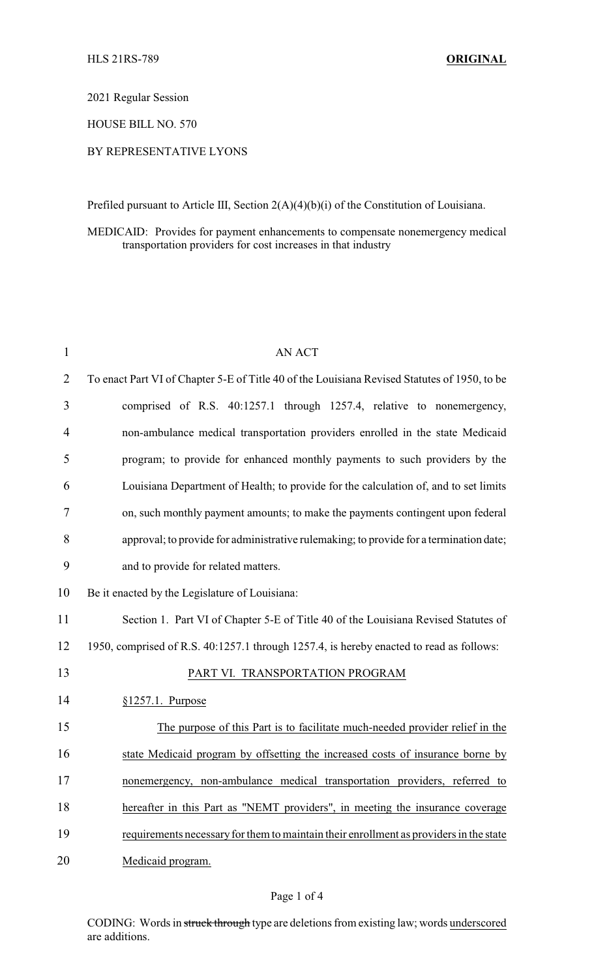2021 Regular Session

HOUSE BILL NO. 570

## BY REPRESENTATIVE LYONS

Prefiled pursuant to Article III, Section 2(A)(4)(b)(i) of the Constitution of Louisiana.

MEDICAID: Provides for payment enhancements to compensate nonemergency medical transportation providers for cost increases in that industry

| $\mathbf{1}$   | <b>AN ACT</b>                                                                                |
|----------------|----------------------------------------------------------------------------------------------|
| $\overline{2}$ | To enact Part VI of Chapter 5-E of Title 40 of the Louisiana Revised Statutes of 1950, to be |
| 3              | comprised of R.S. 40:1257.1 through 1257.4, relative to nonemergency,                        |
| 4              | non-ambulance medical transportation providers enrolled in the state Medicaid                |
| 5              | program; to provide for enhanced monthly payments to such providers by the                   |
| 6              | Louisiana Department of Health; to provide for the calculation of, and to set limits         |
| 7              | on, such monthly payment amounts; to make the payments contingent upon federal               |
| 8              | approval; to provide for administrative rulemaking; to provide for a termination date;       |
| 9              | and to provide for related matters.                                                          |
| 10             | Be it enacted by the Legislature of Louisiana:                                               |
| 11             | Section 1. Part VI of Chapter 5-E of Title 40 of the Louisiana Revised Statutes of           |
| 12             | 1950, comprised of R.S. 40:1257.1 through 1257.4, is hereby enacted to read as follows:      |
| 13             | PART VI. TRANSPORTATION PROGRAM                                                              |
| 14             | $§1257.1$ . Purpose                                                                          |
| 15             | The purpose of this Part is to facilitate much-needed provider relief in the                 |
| 16             | state Medicaid program by offsetting the increased costs of insurance borne by               |
| 17             | nonemergency, non-ambulance medical transportation providers, referred to                    |
| 18             | hereafter in this Part as "NEMT providers", in meeting the insurance coverage                |
| 19             | requirements necessary for them to maintain their enrollment as providers in the state       |
| 20             | Medicaid program.                                                                            |

## Page 1 of 4

CODING: Words in struck through type are deletions from existing law; words underscored are additions.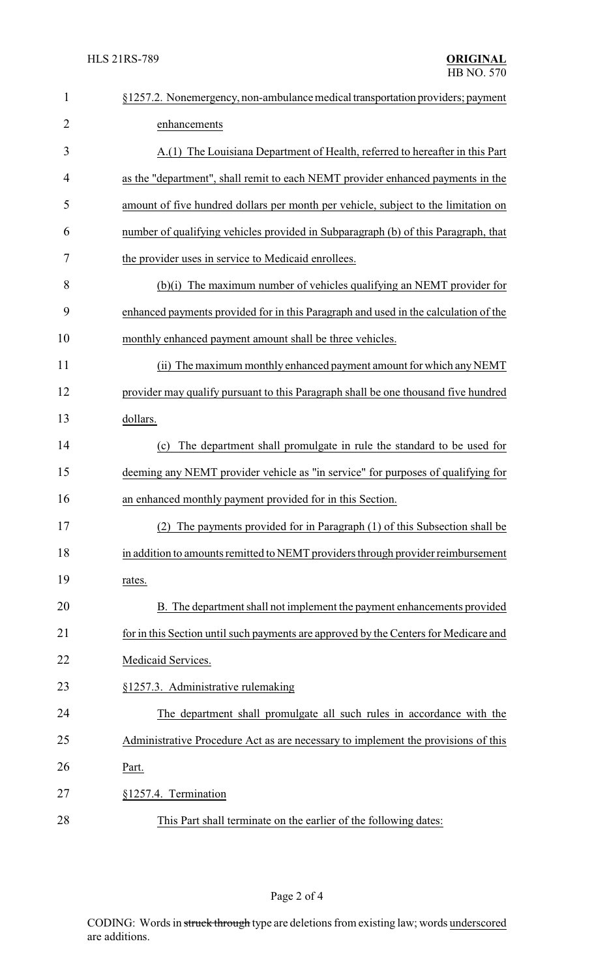| $\mathbf{1}$   | §1257.2. Nonemergency, non-ambulance medical transportation providers; payment       |  |  |
|----------------|--------------------------------------------------------------------------------------|--|--|
| $\overline{2}$ | enhancements                                                                         |  |  |
| 3              | A.(1) The Louisiana Department of Health, referred to hereafter in this Part         |  |  |
| 4              | as the "department", shall remit to each NEMT provider enhanced payments in the      |  |  |
| 5              | amount of five hundred dollars per month per vehicle, subject to the limitation on   |  |  |
| 6              | number of qualifying vehicles provided in Subparagraph (b) of this Paragraph, that   |  |  |
| 7              | the provider uses in service to Medicaid enrollees.                                  |  |  |
| 8              | (b)(i) The maximum number of vehicles qualifying an NEMT provider for                |  |  |
| 9              | enhanced payments provided for in this Paragraph and used in the calculation of the  |  |  |
| 10             | monthly enhanced payment amount shall be three vehicles.                             |  |  |
| 11             | (ii) The maximum monthly enhanced payment amount for which any NEMT                  |  |  |
| 12             | provider may qualify pursuant to this Paragraph shall be one thousand five hundred   |  |  |
| 13             | dollars.                                                                             |  |  |
| 14             | (c) The department shall promulgate in rule the standard to be used for              |  |  |
| 15             | deeming any NEMT provider vehicle as "in service" for purposes of qualifying for     |  |  |
| 16             | an enhanced monthly payment provided for in this Section.                            |  |  |
| 17             | (2) The payments provided for in Paragraph (1) of this Subsection shall be           |  |  |
| 18             | in addition to amounts remitted to NEMT providers through provider reimbursement     |  |  |
| 19             | rates.                                                                               |  |  |
| 20             | B. The department shall not implement the payment enhancements provided              |  |  |
| 21             | for in this Section until such payments are approved by the Centers for Medicare and |  |  |
| 22             | Medicaid Services.                                                                   |  |  |
| 23             | §1257.3. Administrative rulemaking                                                   |  |  |
| 24             | The department shall promulgate all such rules in accordance with the                |  |  |
| 25             | Administrative Procedure Act as are necessary to implement the provisions of this    |  |  |
| 26             | Part.                                                                                |  |  |
| 27             | §1257.4. Termination                                                                 |  |  |
| 28             | This Part shall terminate on the earlier of the following dates:                     |  |  |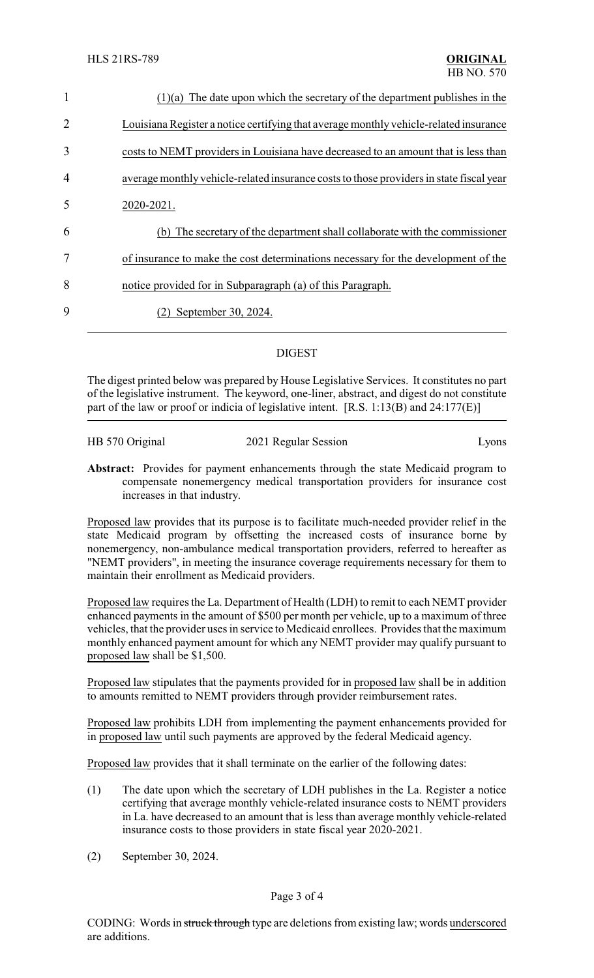| $\mathbf{1}$   | $(1)(a)$ The date upon which the secretary of the department publishes in the           |
|----------------|-----------------------------------------------------------------------------------------|
| $\overline{2}$ | Louisiana Register a notice certifying that average monthly vehicle-related insurance   |
| 3              | costs to NEMT providers in Louisiana have decreased to an amount that is less than      |
| $\overline{4}$ | average monthly vehicle-related insurance costs to those providers in state fiscal year |
| 5              | 2020-2021.                                                                              |
| 6              | The secretary of the department shall collaborate with the commissioner<br>(b)          |
| 7              | of insurance to make the cost determinations necessary for the development of the       |
| 8              | notice provided for in Subparagraph (a) of this Paragraph.                              |
| 9              | September 30, 2024.                                                                     |
|                |                                                                                         |

## DIGEST

The digest printed below was prepared by House Legislative Services. It constitutes no part of the legislative instrument. The keyword, one-liner, abstract, and digest do not constitute part of the law or proof or indicia of legislative intent.  $[R.S. 1:13(B)$  and  $24:177(E)]$ 

| HB 570 Original | 2021 Regular Session | Lyons |
|-----------------|----------------------|-------|
|                 |                      |       |

**Abstract:** Provides for payment enhancements through the state Medicaid program to compensate nonemergency medical transportation providers for insurance cost increases in that industry.

Proposed law provides that its purpose is to facilitate much-needed provider relief in the state Medicaid program by offsetting the increased costs of insurance borne by nonemergency, non-ambulance medical transportation providers, referred to hereafter as "NEMT providers", in meeting the insurance coverage requirements necessary for them to maintain their enrollment as Medicaid providers.

Proposed law requires the La. Department of Health (LDH) to remit to each NEMT provider enhanced payments in the amount of \$500 per month per vehicle, up to a maximum of three vehicles, that the provider uses in service to Medicaid enrollees. Provides that the maximum monthly enhanced payment amount for which any NEMT provider may qualify pursuant to proposed law shall be \$1,500.

Proposed law stipulates that the payments provided for in proposed law shall be in addition to amounts remitted to NEMT providers through provider reimbursement rates.

Proposed law prohibits LDH from implementing the payment enhancements provided for in proposed law until such payments are approved by the federal Medicaid agency.

Proposed law provides that it shall terminate on the earlier of the following dates:

- (1) The date upon which the secretary of LDH publishes in the La. Register a notice certifying that average monthly vehicle-related insurance costs to NEMT providers in La. have decreased to an amount that is less than average monthly vehicle-related insurance costs to those providers in state fiscal year 2020-2021.
- (2) September 30, 2024.